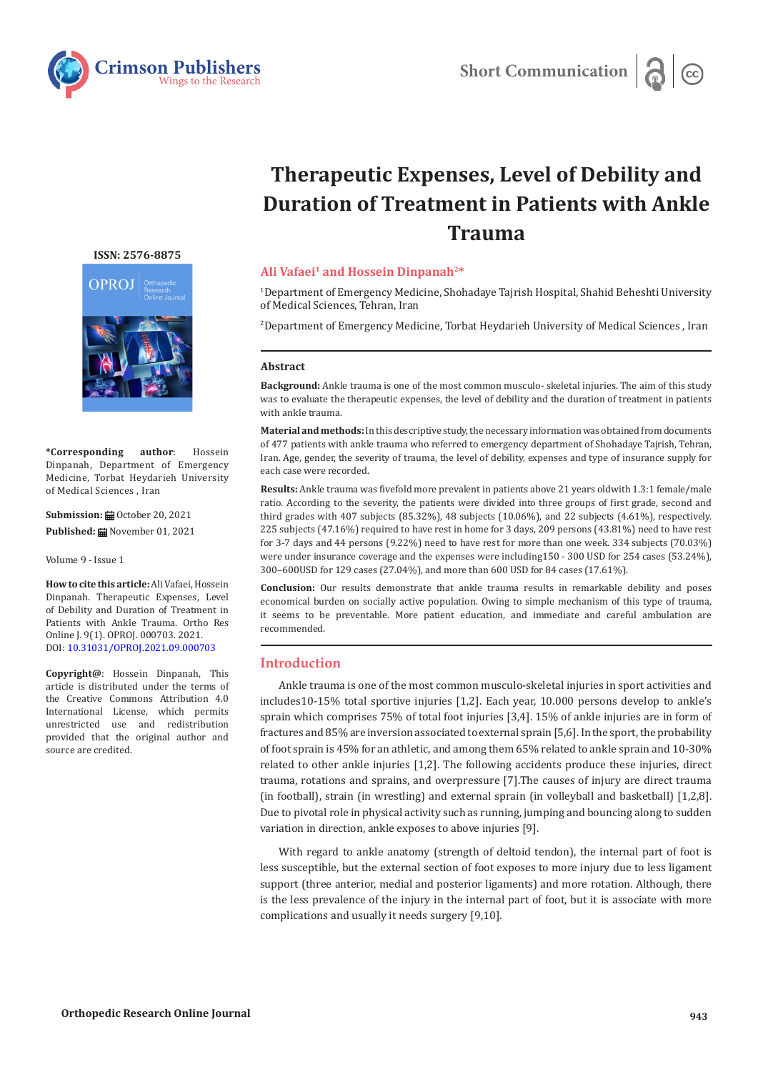

# **Therapeutic Expenses, Level of Debility and Duration of Treatment in Patients with Ankle Trauma**

## **Ali Vafaei1 and Hossein Dinpanah2\***

1 Department of Emergency Medicine, Shohadaye Tajrish Hospital, Shahid Beheshti University of Medical Sciences, Tehran, Iran

2 Department of Emergency Medicine, Torbat Heydarieh University of Medical Sciences , Iran

#### **Abstract**

**Background:** Ankle trauma is one of the most common musculo- skeletal injuries. The aim of this study was to evaluate the therapeutic expenses, the level of debility and the duration of treatment in patients with ankle trauma.

**Material and methods:** In this descriptive study, the necessary information was obtained from documents of 477 patients with ankle trauma who referred to emergency department of Shohadaye Tajrish, Tehran, Iran. Age, gender, the severity of trauma, the level of debility, expenses and type of insurance supply for each case were recorded.

**Results:** Ankle trauma was fivefold more prevalent in patients above 21 years oldwith 1.3:1 female/male ratio. According to the severity, the patients were divided into three groups of first grade, second and third grades with 407 subjects (85.32%), 48 subjects (10.06%), and 22 subjects (4.61%), respectively. 225 subjects (47.16%) required to have rest in home for 3 days, 209 persons (43.81%) need to have rest for 3-7 days and 44 persons (9.22%) need to have rest for more than one week. 334 subjects (70.03%) were under insurance coverage and the expenses were including150 - 300 USD for 254 cases (53.24%), 300–600USD for 129 cases (27.04%), and more than 600 USD for 84 cases (17.61%).

**Conclusion:** Our results demonstrate that ankle trauma results in remarkable debility and poses economical burden on socially active population. Owing to simple mechanism of this type of trauma, it seems to be preventable. More patient education, and immediate and careful ambulation are recommended.

## **Introduction**

Ankle trauma is one of the most common musculo-skeletal injuries in sport activities and includes10-15% total sportive injuries [1,2]. Each year, 10.000 persons develop to ankle's sprain which comprises 75% of total foot injuries [3,4]. 15% of ankle injuries are in form of fractures and 85% are inversion associated to external sprain [5,6]. In the sport, the probability of foot sprain is 45% for an athletic, and among them 65% related to ankle sprain and 10-30% related to other ankle injuries [1,2]. The following accidents produce these injuries, direct trauma, rotations and sprains, and overpressure [7].The causes of injury are direct trauma (in football), strain (in wrestling) and external sprain (in volleyball and basketball) [1,2,8]. Due to pivotal role in physical activity such as running, jumping and bouncing along to sudden variation in direction, ankle exposes to above injuries [9].

With regard to ankle anatomy (strength of deltoid tendon), the internal part of foot is less susceptible, but the external section of foot exposes to more injury due to less ligament support (three anterior, medial and posterior ligaments) and more rotation. Although, there is the less prevalence of the injury in the internal part of foot, but it is associate with more complications and usually it needs surgery [9,10].

**[ISSN: 2576-8875](https://www.crimsonpublishers.com/oproj/)**



**\*Corresponding author**: Hossein Dinpanah, Department of Emergency Medicine, Torbat Heydarieh University of Medical Sciences , Iran

**Submission: m** October 20, 2021 **Published:** November 01, 2021

Volume 9 - Issue 1

**How to cite this article:**Ali Vafaei, Hossein Dinpanah. Therapeutic Expenses, Level of Debility and Duration of Treatment in Patients with Ankle Trauma. Ortho Res Online J. 9(1). OPROJ. 000703. 2021. DOI: [10.31031/OPROJ.2021.09.000703](http://dx.doi.org/10.31031/OPROJ.2021.09.000703)

**Copyright@**: Hossein Dinpanah, This article is distributed under the terms of the Creative Commons Attribution 4.0 International License, which permits unrestricted use and redistribution provided that the original author and source are credited.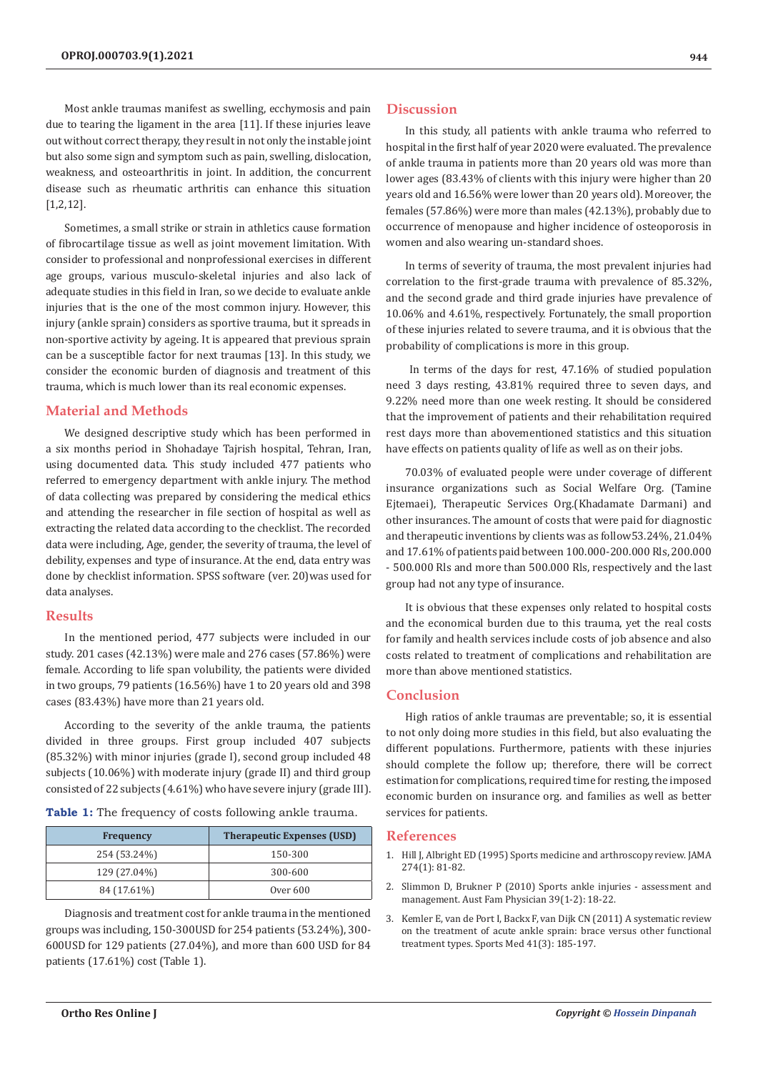Most ankle traumas manifest as swelling, ecchymosis and pain due to tearing the ligament in the area [11]. If these injuries leave out without correct therapy, they result in not only the instable joint but also some sign and symptom such as pain, swelling, dislocation, weakness, and osteoarthritis in joint. In addition, the concurrent disease such as rheumatic arthritis can enhance this situation [1,2,12].

Sometimes, a small strike or strain in athletics cause formation of fibrocartilage tissue as well as joint movement limitation. With consider to professional and nonprofessional exercises in different age groups, various musculo-skeletal injuries and also lack of adequate studies in this field in Iran, so we decide to evaluate ankle injuries that is the one of the most common injury. However, this injury (ankle sprain) considers as sportive trauma, but it spreads in non-sportive activity by ageing. It is appeared that previous sprain can be a susceptible factor for next traumas [13]. In this study, we consider the economic burden of diagnosis and treatment of this trauma, which is much lower than its real economic expenses.

## **Material and Methods**

We designed descriptive study which has been performed in a six months period in Shohadaye Tajrish hospital, Tehran, Iran, using documented data. This study included 477 patients who referred to emergency department with ankle injury. The method of data collecting was prepared by considering the medical ethics and attending the researcher in file section of hospital as well as extracting the related data according to the checklist. The recorded data were including, Age, gender, the severity of trauma, the level of debility, expenses and type of insurance. At the end, data entry was done by checklist information. SPSS software (ver. 20)was used for data analyses.

#### **Results**

In the mentioned period, 477 subjects were included in our study. 201 cases (42.13%) were male and 276 cases (57.86%) were female. According to life span volubility, the patients were divided in two groups, 79 patients (16.56%) have 1 to 20 years old and 398 cases (83.43%) have more than 21 years old.

According to the severity of the ankle trauma, the patients divided in three groups. First group included 407 subjects (85.32%) with minor injuries (grade I), second group included 48 subjects (10.06%) with moderate injury (grade II) and third group consisted of 22 subjects (4.61%) who have severe injury (grade III).

**Table 1:** The frequency of costs following ankle trauma.

| <b>Frequency</b> | <b>Therapeutic Expenses (USD)</b> |
|------------------|-----------------------------------|
| 254 (53.24%)     | 150-300                           |
| 129 (27.04%)     | 300-600                           |
| 84 (17.61%)      | Over 600                          |

Diagnosis and treatment cost for ankle trauma in the mentioned groups was including, 150-300USD for 254 patients (53.24%), 300- 600USD for 129 patients (27.04%), and more than 600 USD for 84 patients (17.61%) cost (Table 1).

## **Discussion**

In this study, all patients with ankle trauma who referred to hospital in the first half of year 2020 were evaluated. The prevalence of ankle trauma in patients more than 20 years old was more than lower ages (83.43% of clients with this injury were higher than 20 years old and 16.56% were lower than 20 years old). Moreover, the females (57.86%) were more than males (42.13%), probably due to occurrence of menopause and higher incidence of osteoporosis in women and also wearing un-standard shoes.

In terms of severity of trauma, the most prevalent injuries had correlation to the first-grade trauma with prevalence of 85.32%, and the second grade and third grade injuries have prevalence of 10.06% and 4.61%, respectively. Fortunately, the small proportion of these injuries related to severe trauma, and it is obvious that the probability of complications is more in this group.

 In terms of the days for rest, 47.16% of studied population need 3 days resting, 43.81% required three to seven days, and 9.22% need more than one week resting. It should be considered that the improvement of patients and their rehabilitation required rest days more than abovementioned statistics and this situation have effects on patients quality of life as well as on their jobs.

70.03% of evaluated people were under coverage of different insurance organizations such as Social Welfare Org. (Tamine Ejtemaei), Therapeutic Services Org.(Khadamate Darmani) and other insurances. The amount of costs that were paid for diagnostic and therapeutic inventions by clients was as follow53.24%, 21.04% and 17.61% of patients paid between 100.000-200.000 Rls, 200.000 - 500.000 Rls and more than 500.000 Rls, respectively and the last group had not any type of insurance.

It is obvious that these expenses only related to hospital costs and the economical burden due to this trauma, yet the real costs for family and health services include costs of job absence and also costs related to treatment of complications and rehabilitation are more than above mentioned statistics.

## **Conclusion**

High ratios of ankle traumas are preventable; so, it is essential to not only doing more studies in this field, but also evaluating the different populations. Furthermore, patients with these injuries should complete the follow up; therefore, there will be correct estimation for complications, required time for resting, the imposed economic burden on insurance org. and families as well as better services for patients.

#### **References**

- 1. [Hill J, Albright ED \(1995\) Sports medicine and arthroscopy review. JAMA](https://journals.lww.com/sportsmedarthro/pages/default.aspx) [274\(1\): 81-82.](https://journals.lww.com/sportsmedarthro/pages/default.aspx)
- 2. [Slimmon D, Brukner P \(2010\) Sports ankle injuries assessment and](https://pubmed.ncbi.nlm.nih.gov/20369129/) [management. Aust Fam Physician 39\(1-2\): 18-22.](https://pubmed.ncbi.nlm.nih.gov/20369129/)
- 3. [Kemler E, van de Port I, Backx F, van Dijk CN \(2011\) A systematic review](https://pubmed.ncbi.nlm.nih.gov/21395362/) [on the treatment of acute ankle sprain: brace versus other functional](https://pubmed.ncbi.nlm.nih.gov/21395362/) [treatment types. Sports Med 41\(3\): 185-197.](https://pubmed.ncbi.nlm.nih.gov/21395362/)